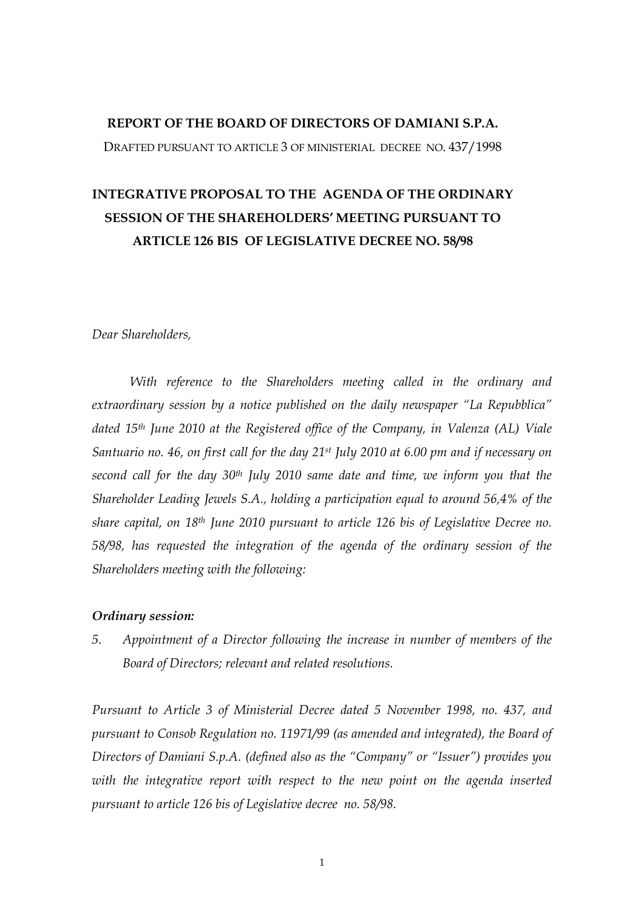# **REPORT OF THE BOARD OF DIRECTORS OF DAMIANI S.P.A.**

DRAFTED PURSUANT TO ARTICLE 3 OF MINISTERIAL DECREE NO. 437/1998

# **INTEGRATIVE PROPOSAL TO THE AGENDA OF THE ORDINARY SESSION OF THE SHAREHOLDERS' MEETING PURSUANT TO ARTICLE 126 BIS OF LEGISLATIVE DECREE NO. 58/98**

## *Dear Shareholders,*

*With reference to the Shareholders meeting called in the ordinary and extraordinary session by a notice published on the daily newspaper "La Repubblica" dated 15th June 2010 at the Registered office of the Company, in Valenza (AL) Viale Santuario no. 46, on first call for the day 21st July 2010 at 6.00 pm and if necessary on second call for the day 30th July 2010 same date and time, we inform you that the Shareholder Leading Jewels S.A., holding a participation equal to around 56,4% of the share capital, on 18th June 2010 pursuant to article 126 bis of Legislative Decree no. 58/98, has requested the integration of the agenda of the ordinary session of the Shareholders meeting with the following:* 

# *Ordinary session:*

*5. Appointment of a Director following the increase in number of members of the Board of Directors; relevant and related resolutions.* 

*Pursuant to Article 3 of Ministerial Decree dated 5 November 1998, no. 437, and pursuant to Consob Regulation no. 11971/99 (as amended and integrated), the Board of Directors of Damiani S.p.A. (defined also as the "Company" or "Issuer") provides you*  with the integrative report with respect to the new point on the agenda inserted *pursuant to article 126 bis of Legislative decree no. 58/98.*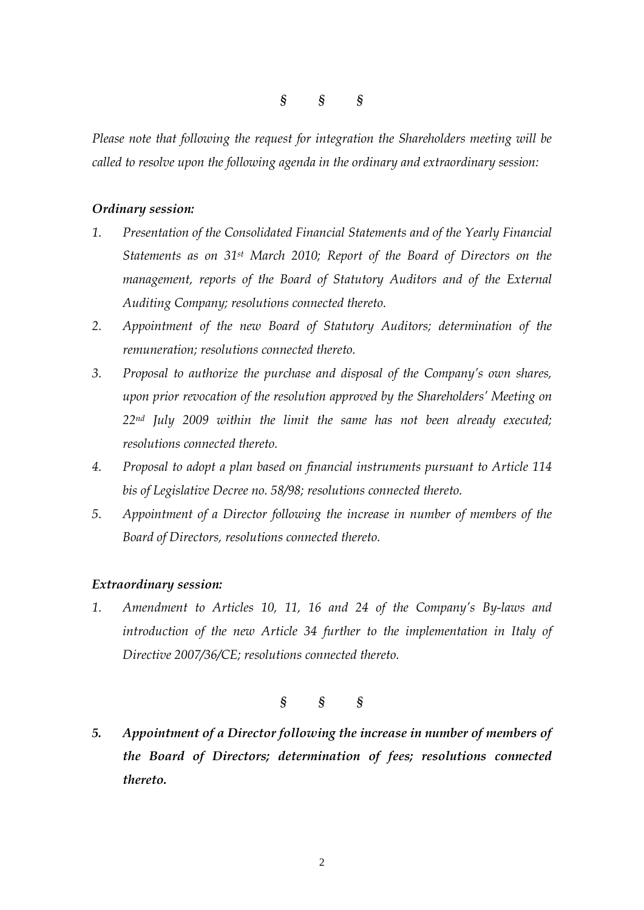*§ § §* 

*Please note that following the request for integration the Shareholders meeting will be called to resolve upon the following agenda in the ordinary and extraordinary session:* 

# *Ordinary session:*

- *1. Presentation of the Consolidated Financial Statements and of the Yearly Financial Statements as on 31st March 2010; Report of the Board of Directors on the management, reports of the Board of Statutory Auditors and of the External Auditing Company; resolutions connected thereto.*
- *2. Appointment of the new Board of Statutory Auditors; determination of the remuneration; resolutions connected thereto.*
- *3. Proposal to authorize the purchase and disposal of the Company's own shares, upon prior revocation of the resolution approved by the Shareholders' Meeting on 22nd July 2009 within the limit the same has not been already executed; resolutions connected thereto.*
- *4. Proposal to adopt a plan based on financial instruments pursuant to Article 114 bis of Legislative Decree no. 58/98; resolutions connected thereto.*
- *5. Appointment of a Director following the increase in number of members of the Board of Directors, resolutions connected thereto.*

# *Extraordinary session:*

*1. Amendment to Articles 10, 11, 16 and 24 of the Company's By-laws and introduction of the new Article 34 further to the implementation in Italy of Directive 2007/36/CE; resolutions connected thereto.* 

*§ § §* 

*5. Appointment of a Director following the increase in number of members of the Board of Directors; determination of fees; resolutions connected thereto.*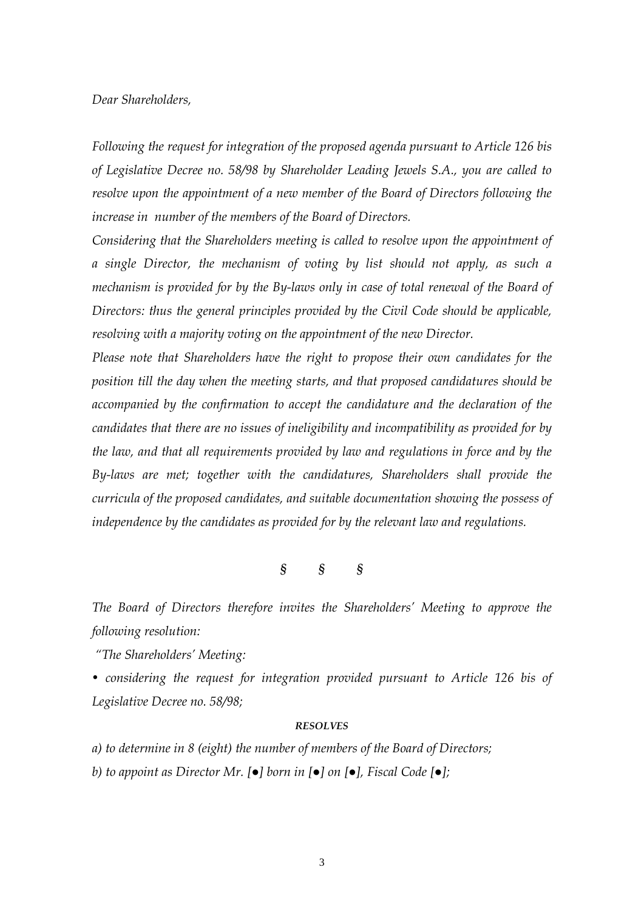# *Dear Shareholders,*

*Following the request for integration of the proposed agenda pursuant to Article 126 bis of Legislative Decree no. 58/98 by Shareholder Leading Jewels S.A., you are called to resolve upon the appointment of a new member of the Board of Directors following the increase in number of the members of the Board of Directors.* 

*Considering that the Shareholders meeting is called to resolve upon the appointment of a single Director, the mechanism of voting by list should not apply, as such a mechanism is provided for by the By-laws only in case of total renewal of the Board of Directors: thus the general principles provided by the Civil Code should be applicable, resolving with a majority voting on the appointment of the new Director.* 

*Please note that Shareholders have the right to propose their own candidates for the position till the day when the meeting starts, and that proposed candidatures should be accompanied by the confirmation to accept the candidature and the declaration of the candidates that there are no issues of ineligibility and incompatibility as provided for by the law, and that all requirements provided by law and regulations in force and by the By-laws are met; together with the candidatures, Shareholders shall provide the curricula of the proposed candidates, and suitable documentation showing the possess of independence by the candidates as provided for by the relevant law and regulations.* 

*§ § §* 

*The Board of Directors therefore invites the Shareholders' Meeting to approve the following resolution:* 

 *"The Shareholders' Meeting:* 

• considering the request for integration provided pursuant to Article 126 bis of *Legislative Decree no. 58/98;* 

#### *RESOLVES*

*a) to determine in 8 (eight) the number of members of the Board of Directors; b) to appoint as Director Mr. [●] born in [●] on [●], Fiscal Code [●];*